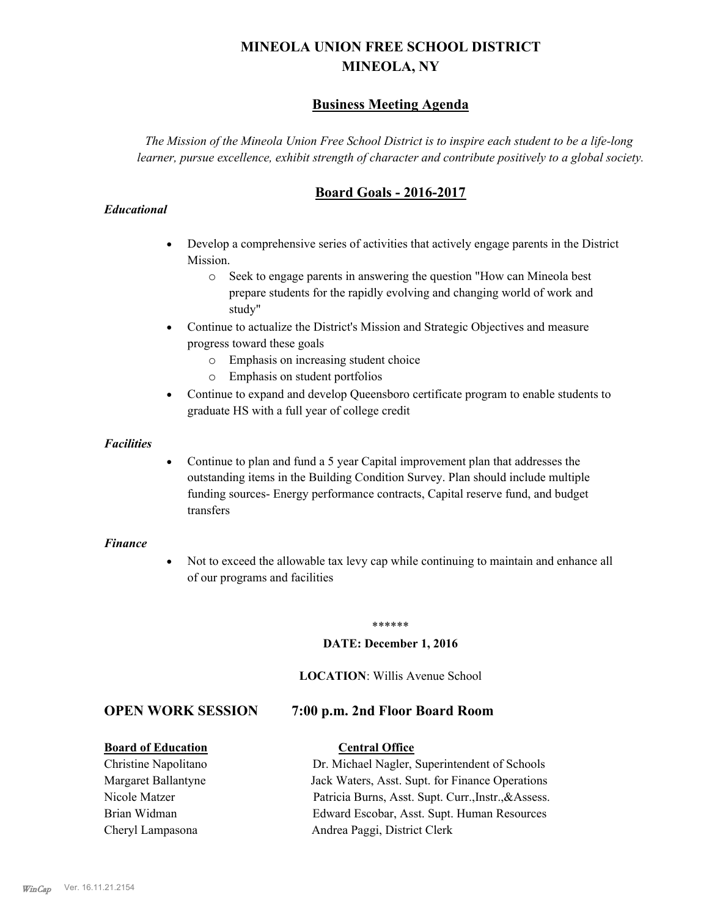# **MINEOLA UNION FREE SCHOOL DISTRICT MINEOLA, NY**

# **Business Meeting Agenda**

*The Mission of the Mineola Union Free School District is to inspire each student to be a life-long learner, pursue excellence, exhibit strength of character and contribute positively to a global society.*

# **Board Goals - 2016-2017**

#### *Educational*

- · Develop a comprehensive series of activities that actively engage parents in the District Mission.
	- o Seek to engage parents in answering the question "How can Mineola best prepare students for the rapidly evolving and changing world of work and study"
- · Continue to actualize the District's Mission and Strategic Objectives and measure progress toward these goals
	- o Emphasis on increasing student choice
	- o Emphasis on student portfolios
- · Continue to expand and develop Queensboro certificate program to enable students to graduate HS with a full year of college credit

#### *Facilities*

· Continue to plan and fund a 5 year Capital improvement plan that addresses the outstanding items in the Building Condition Survey. Plan should include multiple funding sources- Energy performance contracts, Capital reserve fund, and budget transfers

#### *Finance*

• Not to exceed the allowable tax levy cap while continuing to maintain and enhance all of our programs and facilities

#### \*\*\*\*\*\*

#### **DATE: December 1, 2016**

#### **LOCATION**: Willis Avenue School

#### **OPEN WORK SESSION 7:00 p.m. 2nd Floor Board Room**

#### **Board of Education Central Office**

Christine Napolitano Dr. Michael Nagler, Superintendent of Schools Margaret Ballantyne Jack Waters, Asst. Supt. for Finance Operations Nicole Matzer Patricia Burns, Asst. Supt. Curr.,Instr.,&Assess. Brian Widman Edward Escobar, Asst. Supt. Human Resources Cheryl Lampasona Andrea Paggi, District Clerk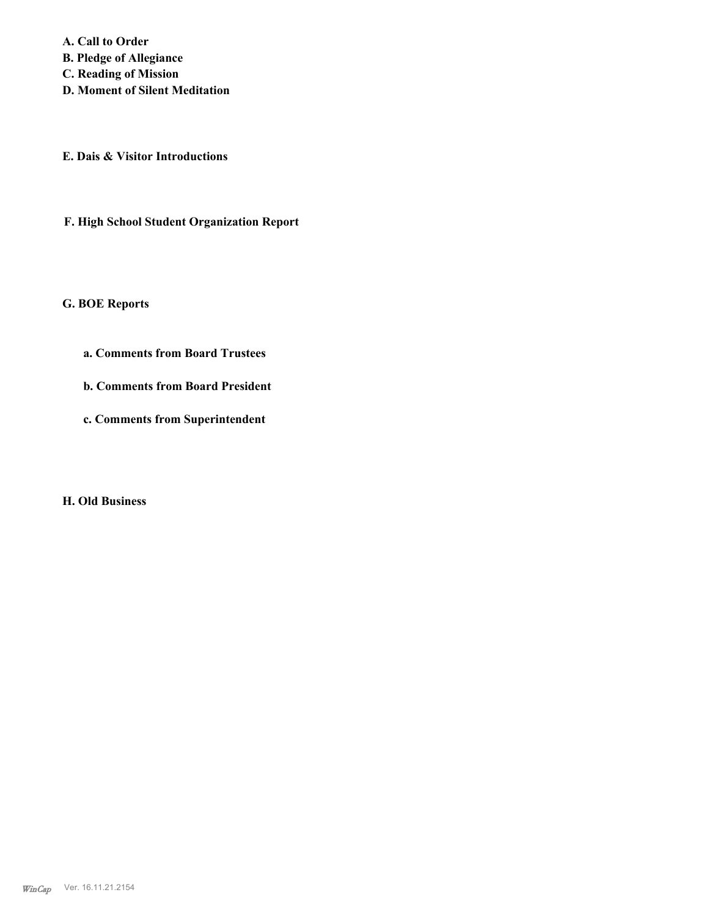**A. Call to Order B. Pledge of Allegiance C. Reading of Mission D. Moment of Silent Meditation**

**E. Dais & Visitor Introductions**

**F. High School Student Organization Report**

**G. BOE Reports**

- **a. Comments from Board Trustees**
- **b. Comments from Board President**
- **c. Comments from Superintendent**

**H. Old Business**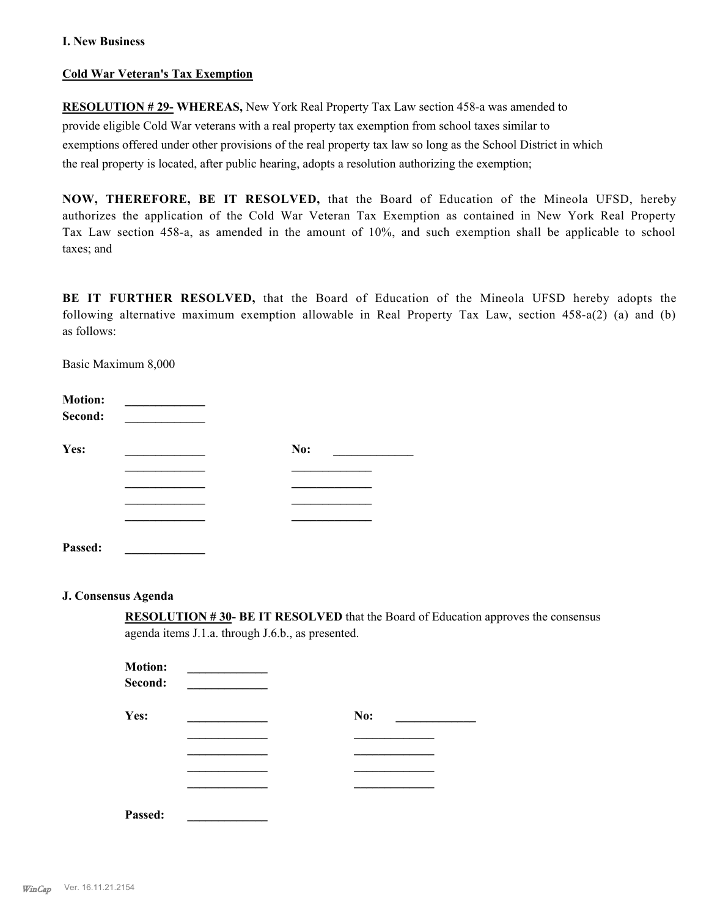#### **I. New Business**

#### **Cold War Veteran's Tax Exemption**

**RESOLUTION # 29- WHEREAS,** New York Real Property Tax Law section 458-a was amended to provide eligible Cold War veterans with a real property tax exemption from school taxes similar to exemptions offered under other provisions of the real property tax law so long as the School District in which the real property is located, after public hearing, adopts a resolution authorizing the exemption;

**NOW, THEREFORE, BE IT RESOLVED,** that the Board of Education of the Mineola UFSD, hereby authorizes the application of the Cold War Veteran Tax Exemption as contained in New York Real Property Tax Law section 458-a, as amended in the amount of 10%, and such exemption shall be applicable to school taxes; and

**BE IT FURTHER RESOLVED,** that the Board of Education of the Mineola UFSD hereby adopts the following alternative maximum exemption allowable in Real Property Tax Law, section 458-a(2) (a) and (b) as follows:

Basic Maximum 8,000

| <b>Motion:</b> |     |
|----------------|-----|
| Second:        |     |
| Yes:           | No: |
|                |     |
|                |     |
|                |     |
|                |     |
| Passed:        |     |

#### **J. Consensus Agenda**

**RESOLUTION # 30- BE IT RESOLVED** that the Board of Education approves the consensus agenda items J.1.a. through J.6.b., as presented.

| <b>Motion:</b><br>Second: |     |
|---------------------------|-----|
| Yes:                      | No: |
|                           |     |
|                           |     |
|                           |     |
|                           |     |
| Passed:                   |     |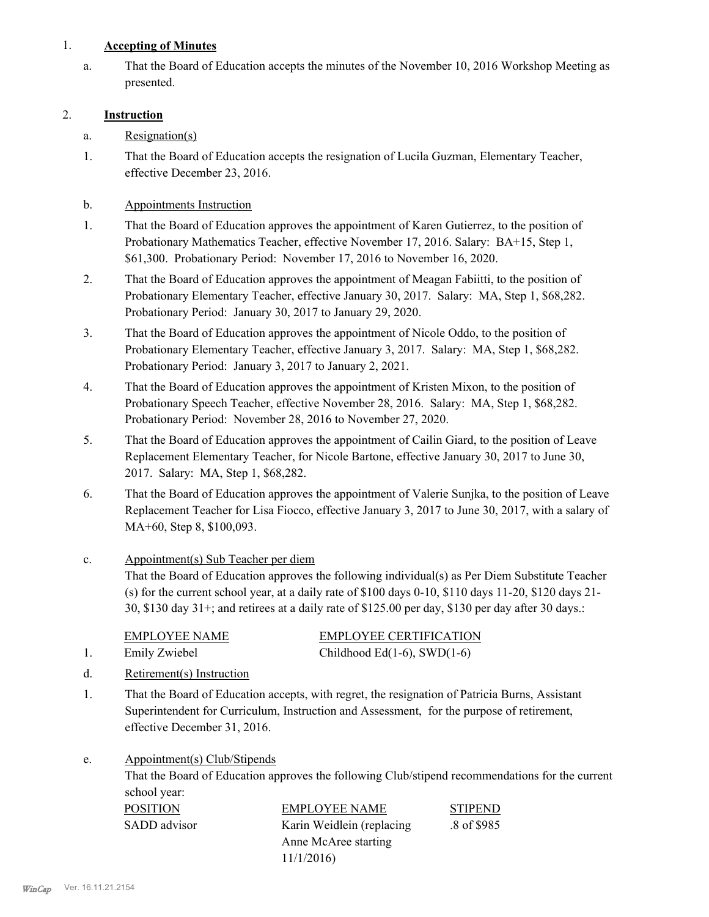### 1. **Accepting of Minutes**

That the Board of Education accepts the minutes of the November 10, 2016 Workshop Meeting as presented. a.

## 2. **Instruction**

- a. Resignation(s)
- That the Board of Education accepts the resignation of Lucila Guzman, Elementary Teacher, effective December 23, 2016. 1.

## b. Appointments Instruction

- That the Board of Education approves the appointment of Karen Gutierrez, to the position of Probationary Mathematics Teacher, effective November 17, 2016. Salary: BA+15, Step 1, \$61,300. Probationary Period: November 17, 2016 to November 16, 2020. 1.
- That the Board of Education approves the appointment of Meagan Fabiitti, to the position of Probationary Elementary Teacher, effective January 30, 2017. Salary: MA, Step 1, \$68,282. Probationary Period: January 30, 2017 to January 29, 2020. 2.
- That the Board of Education approves the appointment of Nicole Oddo, to the position of Probationary Elementary Teacher, effective January 3, 2017. Salary: MA, Step 1, \$68,282. Probationary Period: January 3, 2017 to January 2, 2021. 3.
- That the Board of Education approves the appointment of Kristen Mixon, to the position of Probationary Speech Teacher, effective November 28, 2016. Salary: MA, Step 1, \$68,282. Probationary Period: November 28, 2016 to November 27, 2020. 4.
- That the Board of Education approves the appointment of Cailin Giard, to the position of Leave Replacement Elementary Teacher, for Nicole Bartone, effective January 30, 2017 to June 30, 2017. Salary: MA, Step 1, \$68,282. 5.
- That the Board of Education approves the appointment of Valerie Sunjka, to the position of Leave Replacement Teacher for Lisa Fiocco, effective January 3, 2017 to June 30, 2017, with a salary of MA+60, Step 8, \$100,093. 6.

#### Appointment(s) Sub Teacher per diem That the Board of Education approves the following individual(s) as Per Diem Substitute Teacher (s) for the current school year, at a daily rate of \$100 days 0-10, \$110 days 11-20, \$120 days 21- 30, \$130 day 31+; and retirees at a daily rate of \$125.00 per day, \$130 per day after 30 days.: c.

| <b>EMPLOYEE NAME</b> | <b>EMPLOYEE CERTIFICATION</b> |
|----------------------|-------------------------------|
| Emily Zwiebel        | Childhood Ed(1-6), SWD(1-6)   |

- d. Retirement(s) Instruction
- That the Board of Education accepts, with regret, the resignation of Patricia Burns, Assistant Superintendent for Curriculum, Instruction and Assessment, for the purpose of retirement, effective December 31, 2016. 1.
- Appointment(s) Club/Stipends e.

That the Board of Education approves the following Club/stipend recommendations for the current school year:

| POSITION     | <b>EMPLOYEE NAME</b>       | <b>STIPEND</b> |
|--------------|----------------------------|----------------|
| SADD advisor | Karin Weidlein (replacing) | .8 of \$985    |
|              | Anne McAree starting       |                |
|              | 11/1/2016                  |                |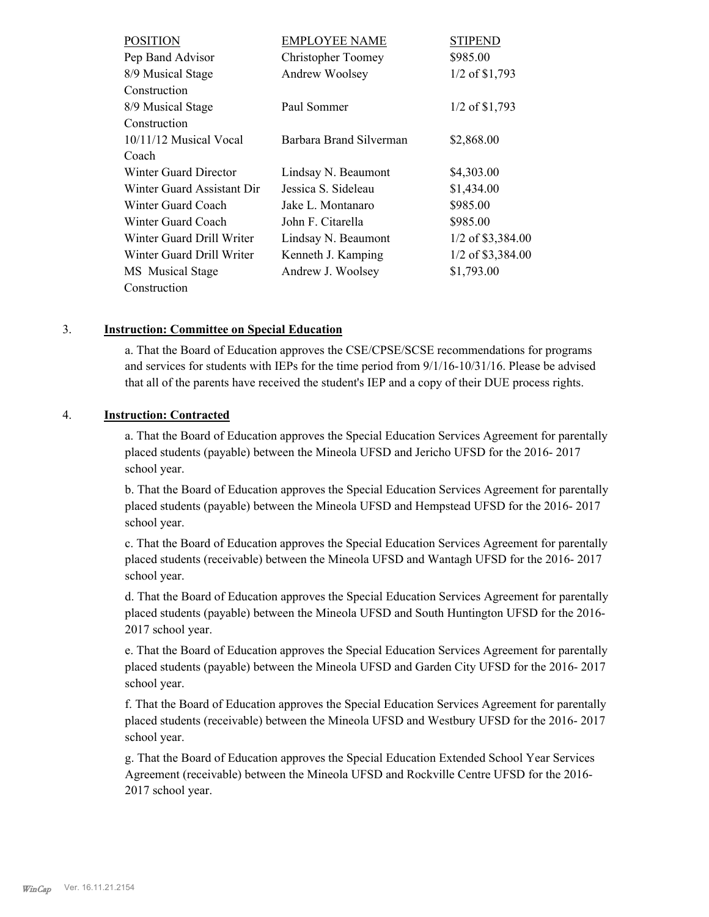| <b>POSITION</b>            | <b>EMPLOYEE NAME</b>    | <b>STIPEND</b>      |
|----------------------------|-------------------------|---------------------|
| Pep Band Advisor           | Christopher Toomey      | \$985.00            |
| 8/9 Musical Stage          | Andrew Woolsey          | 1/2 of \$1,793      |
| Construction               |                         |                     |
| 8/9 Musical Stage          | Paul Sommer             | 1/2 of \$1,793      |
| Construction               |                         |                     |
| 10/11/12 Musical Vocal     | Barbara Brand Silverman | \$2,868.00          |
| Coach                      |                         |                     |
| Winter Guard Director      | Lindsay N. Beaumont     | \$4,303.00          |
| Winter Guard Assistant Dir | Jessica S. Sideleau     | \$1,434.00          |
| Winter Guard Coach         | Jake L. Montanaro       | \$985.00            |
| Winter Guard Coach         | John F. Citarella       | \$985.00            |
| Winter Guard Drill Writer  | Lindsay N. Beaumont     | $1/2$ of \$3,384.00 |
| Winter Guard Drill Writer  | Kenneth J. Kamping      | 1/2 of \$3,384.00   |
| MS Musical Stage           | Andrew J. Woolsey       | \$1,793.00          |
| Construction               |                         |                     |

#### 3. **Instruction: Committee on Special Education**

a. That the Board of Education approves the CSE/CPSE/SCSE recommendations for programs and services for students with IEPs for the time period from 9/1/16-10/31/16. Please be advised that all of the parents have received the student's IEP and a copy of their DUE process rights.

#### 4. **Instruction: Contracted**

a. That the Board of Education approves the Special Education Services Agreement for parentally placed students (payable) between the Mineola UFSD and Jericho UFSD for the 2016- 2017 school year.

b. That the Board of Education approves the Special Education Services Agreement for parentally placed students (payable) between the Mineola UFSD and Hempstead UFSD for the 2016- 2017 school year.

c. That the Board of Education approves the Special Education Services Agreement for parentally placed students (receivable) between the Mineola UFSD and Wantagh UFSD for the 2016- 2017 school year.

d. That the Board of Education approves the Special Education Services Agreement for parentally placed students (payable) between the Mineola UFSD and South Huntington UFSD for the 2016- 2017 school year.

e. That the Board of Education approves the Special Education Services Agreement for parentally placed students (payable) between the Mineola UFSD and Garden City UFSD for the 2016- 2017 school year.

f. That the Board of Education approves the Special Education Services Agreement for parentally placed students (receivable) between the Mineola UFSD and Westbury UFSD for the 2016- 2017 school year.

g. That the Board of Education approves the Special Education Extended School Year Services Agreement (receivable) between the Mineola UFSD and Rockville Centre UFSD for the 2016- 2017 school year.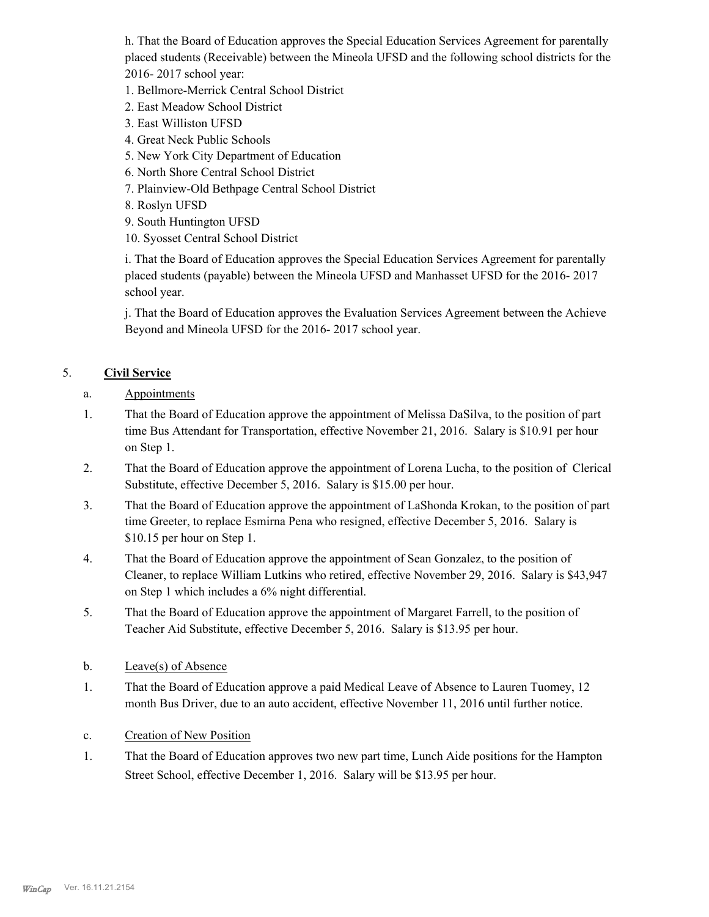h. That the Board of Education approves the Special Education Services Agreement for parentally placed students (Receivable) between the Mineola UFSD and the following school districts for the 2016- 2017 school year:

- 1. Bellmore-Merrick Central School District
- 2. East Meadow School District
- 3. East Williston UFSD
- 4. Great Neck Public Schools
- 5. New York City Department of Education
- 6. North Shore Central School District
- 7. Plainview-Old Bethpage Central School District
- 8. Roslyn UFSD
- 9. South Huntington UFSD
- 10. Syosset Central School District

i. That the Board of Education approves the Special Education Services Agreement for parentally placed students (payable) between the Mineola UFSD and Manhasset UFSD for the 2016- 2017 school year.

j. That the Board of Education approves the Evaluation Services Agreement between the Achieve Beyond and Mineola UFSD for the 2016- 2017 school year.

# 5. **Civil Service**

- a. Appointments
- That the Board of Education approve the appointment of Melissa DaSilva, to the position of part time Bus Attendant for Transportation, effective November 21, 2016. Salary is \$10.91 per hour on Step 1. 1.
- That the Board of Education approve the appointment of Lorena Lucha, to the position of Clerical Substitute, effective December 5, 2016. Salary is \$15.00 per hour. 2.
- That the Board of Education approve the appointment of LaShonda Krokan, to the position of part time Greeter, to replace Esmirna Pena who resigned, effective December 5, 2016. Salary is \$10.15 per hour on Step 1. 3.
- That the Board of Education approve the appointment of Sean Gonzalez, to the position of Cleaner, to replace William Lutkins who retired, effective November 29, 2016. Salary is \$43,947 on Step 1 which includes a 6% night differential. 4.
- That the Board of Education approve the appointment of Margaret Farrell, to the position of Teacher Aid Substitute, effective December 5, 2016. Salary is \$13.95 per hour. 5.
- b. Leave(s) of Absence
- That the Board of Education approve a paid Medical Leave of Absence to Lauren Tuomey, 12 month Bus Driver, due to an auto accident, effective November 11, 2016 until further notice. 1.
- c. Creation of New Position
- That the Board of Education approves two new part time, Lunch Aide positions for the Hampton Street School, effective December 1, 2016. Salary will be \$13.95 per hour. 1.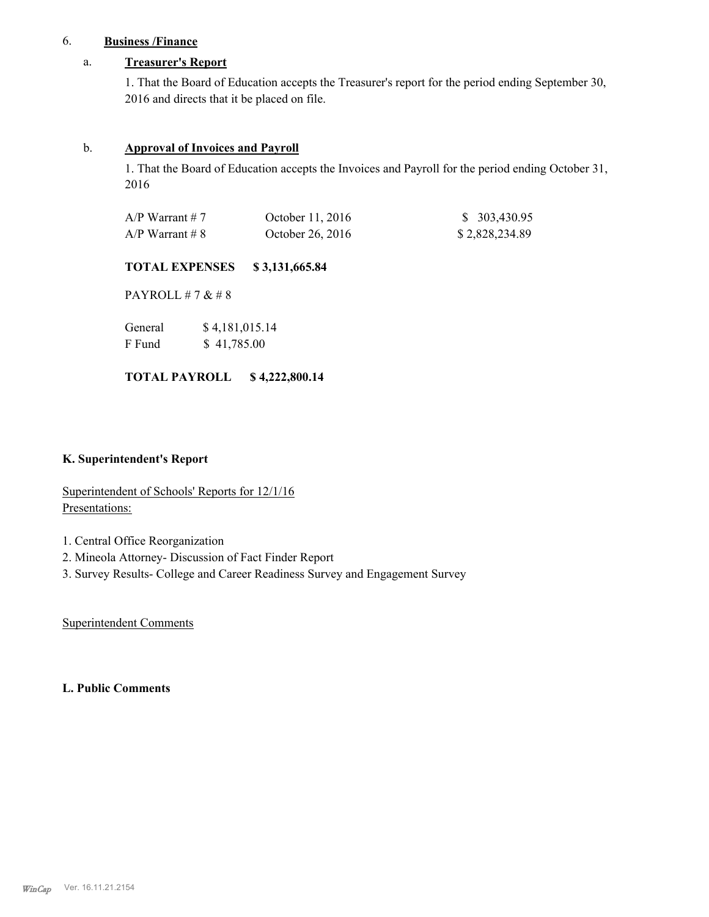## 6. **Business /Finance**

#### a. **Treasurer's Report**

1. That the Board of Education accepts the Treasurer's report for the period ending September 30, 2016 and directs that it be placed on file.

#### b. **Approval of Invoices and Payroll**

1. That the Board of Education accepts the Invoices and Payroll for the period ending October 31, 2016

| $A/P$ Warrant # 7 | October 11, 2016 | \$303,430.95   |
|-------------------|------------------|----------------|
| $A/P$ Warrant # 8 | October 26, 2016 | \$2,828,234.89 |

#### **TOTAL EXPENSES \$ 3,131,665.84**

PAYROLL # 7 & # 8

| General | \$4,181,015.14 |
|---------|----------------|
| F Fund  | \$41,785.00    |

#### **TOTAL PAYROLL \$ 4,222,800.14**

### **K. Superintendent's Report**

Superintendent of Schools' Reports for 12/1/16 Presentations:

- 1. Central Office Reorganization
- 2. Mineola Attorney- Discussion of Fact Finder Report
- 3. Survey Results- College and Career Readiness Survey and Engagement Survey

Superintendent Comments

### **L. Public Comments**